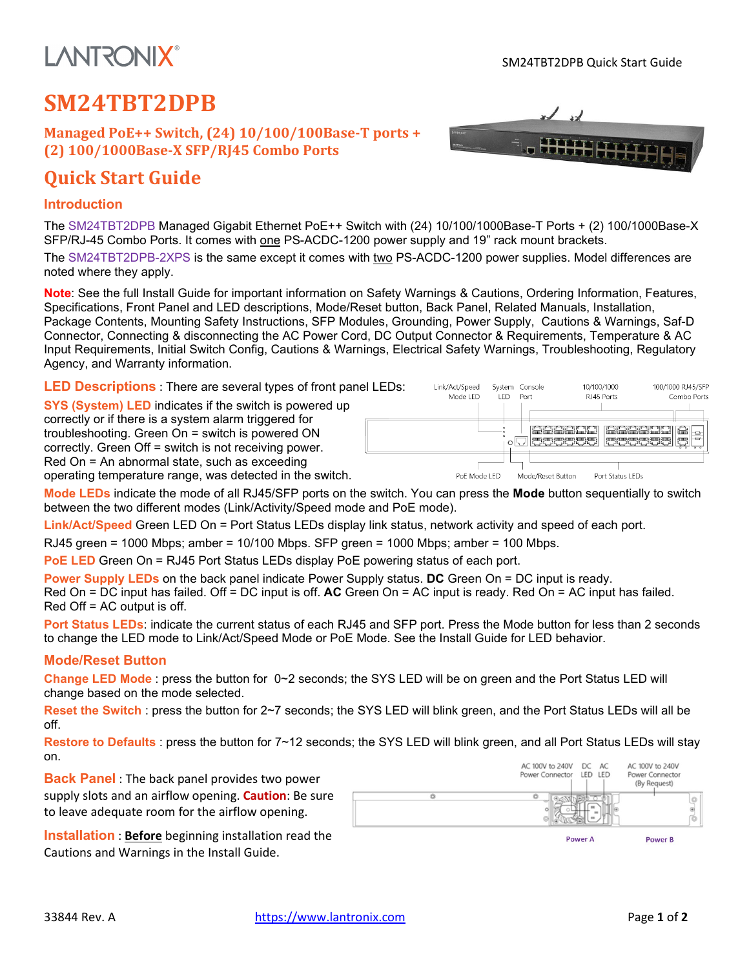## **LANTRONIX®**

HH HITI

### **SM24TBT2DPB**

**Managed PoE++ Switch, (24) 10/100/100Base-T ports + (2) 100/1000Base-X SFP/RJ45 Combo Ports**

### **Quick Start Guide**

#### **Introduction**

The SM24TBT2DPB Managed Gigabit Ethernet PoE++ Switch with (24) 10/100/1000Base-T Ports + (2) 100/1000Base-X SFP/RJ-45 Combo Ports. It comes with one PS-ACDC-1200 power supply and 19" rack mount brackets.

The SM24TBT2DPB-2XPS is the same except it comes with two PS-ACDC-1200 power supplies. Model differences are noted where they apply.

**Note**: See the full Install Guide for important information on Safety Warnings & Cautions, Ordering Information, Features, Specifications, Front Panel and LED descriptions, Mode/Reset button, Back Panel, Related Manuals, Installation, Package Contents, Mounting Safety Instructions, SFP Modules, Grounding, Power Supply, Cautions & Warnings, Saf-D Connector, Connecting & disconnecting the AC Power Cord, DC Output Connector & Requirements, Temperature & AC Input Requirements, Initial Switch Config, Cautions & Warnings, Electrical Safety Warnings, Troubleshooting, Regulatory Agency, and Warranty information.

**LED Descriptions** : There are several types of front panel LEDs:

**SYS (System) LED** indicates if the switch is powered up correctly or if there is a system alarm triggered for troubleshooting. Green On = switch is powered ON correctly. Green Off = switch is not receiving power. Red On = An abnormal state, such as exceeding operating temperature range, was detected in the switch.



**Mode LEDs** indicate the mode of all RJ45/SFP ports on the switch. You can press the **Mode** button sequentially to switch between the two different modes (Link/Activity/Speed mode and PoE mode).

**Link/Act/Speed** Green LED On = Port Status LEDs display link status, network activity and speed of each port.

RJ45 green = 1000 Mbps; amber = 10/100 Mbps. SFP green = 1000 Mbps; amber = 100 Mbps.

**PoE LED** Green On = RJ45 Port Status LEDs display PoE powering status of each port.

**Power Supply LEDs** on the back panel indicate Power Supply status. **DC** Green On = DC input is ready. Red On = DC input has failed. Off = DC input is off. **AC** Green On = AC input is ready. Red On = AC input has failed.

Red Off = AC output is off.

**Port Status LEDs**: indicate the current status of each RJ45 and SFP port. Press the Mode button for less than 2 seconds to change the LED mode to Link/Act/Speed Mode or PoE Mode. See the Install Guide for LED behavior.

#### **Mode/Reset Button**

**Change LED Mode** : press the button for 0~2 seconds; the SYS LED will be on green and the Port Status LED will change based on the mode selected.

**Reset the Switch** : press the button for 2~7 seconds; the SYS LED will blink green, and the Port Status LEDs will all be off.

**Restore to Defaults** : press the button for 7~12 seconds; the SYS LED will blink green, and all Port Status LEDs will stay on.

**Back Panel** : The back panel provides two power supply slots and an airflow opening. **Caution**: Be sure to leave adequate room for the airflow opening.

**Installation** : **Before** beginning installation read the Cautions and Warnings in the Install Guide.